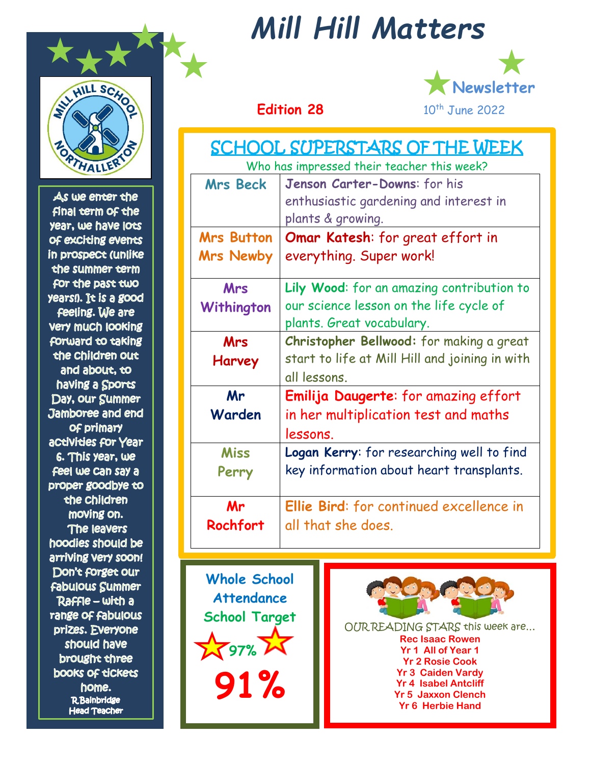

As we enter the final term of the year, we have locs OF exciting events in prospect (unlike the summer term for the past two years!). It is a good feeling. We are **Very much looking** forward to taking the children out and about, to having a Sports Day, our Summer Jamboree and end Of primary activities for Year 6. This year, we Feel we can say a proper goodbye to the Children moving on. The leavers hoodies should be arriving very soon! Don't forget our **Fabulous Summer** Raffle - with a range of fabulous prizes. Everyone should have brought three **books of tickets** home. **R**Bainbridge **Head Teacher** 

# *Mill Hill Matters*



| SCHOOL SUPERSTARS OF THE WEEK<br>Who has impressed their teacher this week? |                                                                                                                   |  |
|-----------------------------------------------------------------------------|-------------------------------------------------------------------------------------------------------------------|--|
| <b>Mrs Beck</b>                                                             | Jenson Carter-Downs: for his<br>enthusiastic gardening and interest in<br>plants & growing.                       |  |
| <b>Mrs Button</b><br><b>Mrs Newby</b>                                       | <b>Omar Katesh:</b> for great effort in<br>everything. Super work!                                                |  |
| Mrs<br>Withington                                                           | Lily Wood: for an amazing contribution to<br>our science lesson on the life cycle of<br>plants. Great vocabulary. |  |
| Mrs<br>Harvey                                                               | Christopher Bellwood: for making a great<br>start to life at Mill Hill and joining in with<br>all lessons.        |  |
| Mr<br>Warden                                                                | Emilija Daugerte: for amazing effort<br>in her multiplication test and maths<br>lessons.                          |  |
| <b>Miss</b><br>Perry                                                        | Logan Kerry: for researching well to find<br>key information about heart transplants.                             |  |
| Mr<br>Rochfort                                                              | Ellie Bird: for continued excellence in<br>all that she does.                                                     |  |

**Whole School Attendance School Target**  $2597%$   $25$ **91%**



OUR READING STARS this week are… **Rec Isaac Rowen Yr 1 All of Year 1 Yr 2 Rosie Cook Yr 3 Caiden Vardy Yr 4 Isabel Antcliff Yr 5 Jaxxon Clench Yr 6 Herbie Hand**